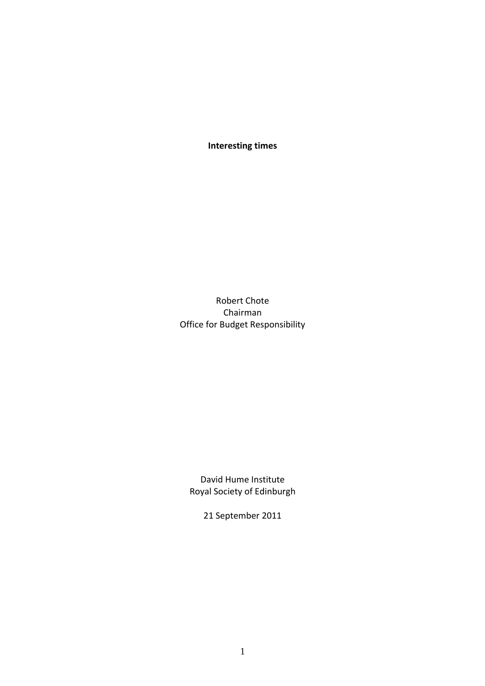**Interesting times**

Robert Chote Chairman Office for Budget Responsibility

David Hume Institute Royal Society of Edinburgh

<span id="page-0-0"></span>21 September 2011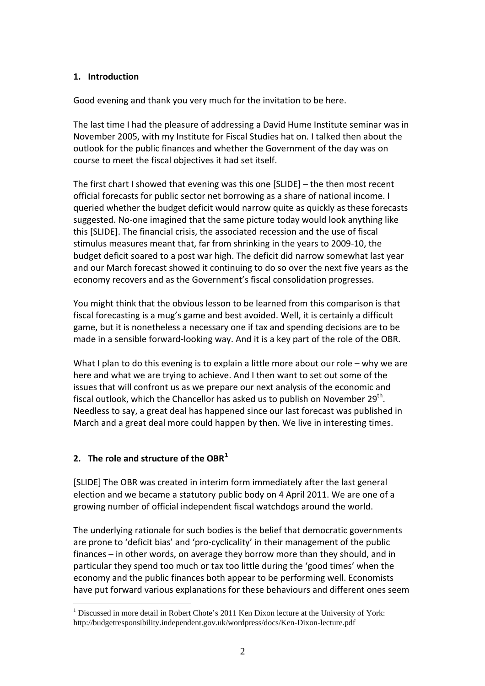## **1. Introduction**

Good evening and thank you very much for the invitation to be here.

The last time I had the pleasure of addressing a David Hume Institute seminar was in November 2005, with my Institute for Fiscal Studies hat on. I talked then about the outlook for the public finances and whether the Government of the day was on course to meet the fiscal objectives it had set itself.

The first chart I showed that evening was this one [SLIDE] – the then most recent official forecasts for public sector net borrowing as a share of national income. I queried whether the budget deficit would narrow quite as quickly as these forecasts suggested. No-one imagined that the same picture today would look anything like this [SLIDE]. The financial crisis, the associated recession and the use of fiscal stimulus measures meant that, far from shrinking in the years to 2009‐10, the budget deficit soared to a post war high. The deficit did narrow somewhat last year and our March forecast showed it continuing to do so over the next five years as the economy recovers and as the Government's fiscal consolidation progresses.

You might think that the obvious lesson to be learned from this comparison is that fiscal forecasting is a mug's game and best avoided. Well, it is certainly a difficult game, but it is nonetheless a necessary one if tax and spending decisions are to be made in a sensible forward‐looking way. And it is a key part of the role of the OBR.

What I plan to do this evening is to explain a little more about our role – why we are here and what we are trying to achieve. And I then want to set out some of the issues that will confront us as we prepare our next analysis of the economic and fiscal outlook, which the Chancellor has asked us to publish on November  $29<sup>th</sup>$ . Needless to say, a great deal has happened since our last forecast was published in March and a great deal more could happen by then. We live in interesting times.

## **2. The role and structure of the OBR[1](#page-0-0)**

[SLIDE] The OBR was created in interim form immediately after the last general election and we became a statutory public body on 4 April 2011. We are one of a growing number of official independent fiscal watchdogs around the world.

The underlying rationale for such bodies is the belief that democratic governments are prone to 'deficit bias' and 'pro-cyclicality' in their management of the public finances – in other words, on average they borrow more than they should, and in particular they spend too much or tax too little during the 'good times' when the economy and the public finances both appear to be performing well. Economists have put forward various explanations for these behaviours and different ones seem

<span id="page-1-0"></span> $\overline{a}$ <sup>1</sup> Discussed in more detail in Robert Chote's 2011 Ken Dixon lecture at the University of York: http://budgetresponsibility.independent.gov.uk/wordpress/docs/Ken-Dixon-lecture.pdf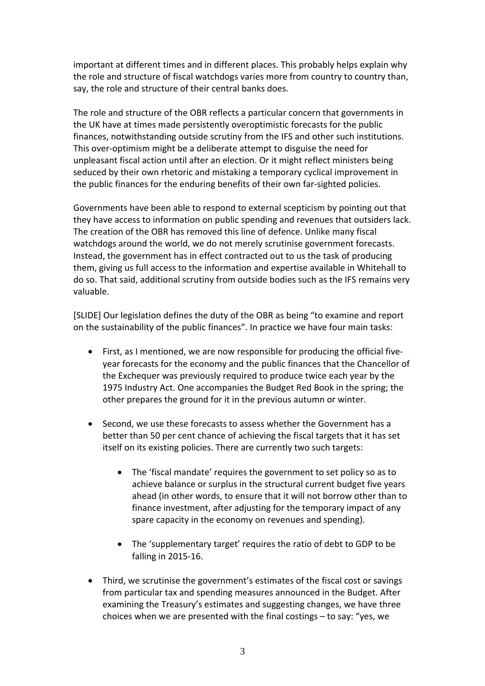important at different times and in different places. This probably helps explain why the role and structure of fiscal watchdogs varies more from country to country than, say, the role and structure of their central banks does.

The role and structure of the OBR reflects a particular concern that governments in the UK have at times made persistently overoptimistic forecasts for the public finances, notwithstanding outside scrutiny from the IFS and other such institutions. This over‐optimism might be a deliberate attempt to disguise the need for unpleasant fiscal action until after an election. Or it might reflect ministers being seduced by their own rhetoric and mistaking a temporary cyclical improvement in the public finances for the enduring benefits of their own far‐sighted policies.

Governments have been able to respond to external scepticism by pointing out that they have access to information on public spending and revenues that outsiders lack. The creation of the OBR has removed this line of defence. Unlike many fiscal watchdogs around the world, we do not merely scrutinise government forecasts. Instead, the government has in effect contracted out to us the task of producing them, giving us full access to the information and expertise available in Whitehall to do so. That said, additional scrutiny from outside bodies such as the IFS remains very valuable.

[SLIDE] Our legislation defines the duty of the OBR as being "to examine and report on the sustainability of the public finances". In practice we have four main tasks:

- First, as I mentioned, we are now responsible for producing the official five‐ year forecasts for the economy and the public finances that the Chancellor of the Exchequer was previously required to produce twice each year by the 1975 Industry Act. One accompanies the Budget Red Book in the spring; the other prepares the ground for it in the previous autumn or winter.
- Second, we use these forecasts to assess whether the Government has a better than 50 per cent chance of achieving the fiscal targets that it has set itself on its existing policies. There are currently two such targets:
	- The 'fiscal mandate' requires the government to set policy so as to achieve balance or surplus in the structural current budget five years ahead (in other words, to ensure that it will not borrow other than to finance investment, after adjusting for the temporary impact of any spare capacity in the economy on revenues and spending).
	- The 'supplementary target' requires the ratio of debt to GDP to be falling in 2015‐16.
- Third, we scrutinise the government's estimates of the fiscal cost or savings from particular tax and spending measures announced in the Budget. After examining the Treasury's estimates and suggesting changes, we have three choices when we are presented with the final costings – to say: "yes, we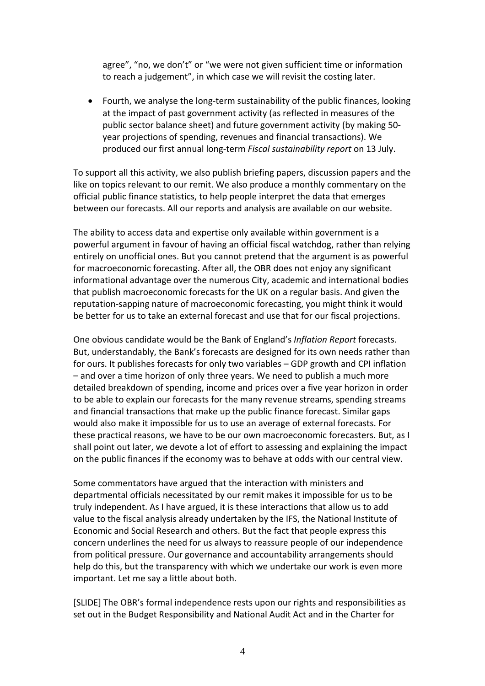agree", "no, we don't" or "we were not given sufficient time or information to reach a judgement", in which case we will revisit the costing later.

 Fourth, we analyse the long‐term sustainability of the public finances, looking at the impact of past government activity (as reflected in measures of the public sector balance sheet) and future government activity (by making 50‐ year projections of spending, revenues and financial transactions). We produced our first annual long‐term *Fiscal sustainability report* on 13 July.

To support all this activity, we also publish briefing papers, discussion papers and the like on topics relevant to our remit. We also produce a monthly commentary on the official public finance statistics, to help people interpret the data that emerges between our forecasts. All our reports and analysis are available on our website.

The ability to access data and expertise only available within government is a powerful argument in favour of having an official fiscal watchdog, rather than relying entirely on unofficial ones. But you cannot pretend that the argument is as powerful for macroeconomic forecasting. After all, the OBR does not enjoy any significant informational advantage over the numerous City, academic and international bodies that publish macroeconomic forecasts for the UK on a regular basis. And given the reputation‐sapping nature of macroeconomic forecasting, you might think it would be better for us to take an external forecast and use that for our fiscal projections.

One obvious candidate would be the Bank of England's *Inflation Report* forecasts. But, understandably, the Bank's forecasts are designed for its own needs rather than for ours. It publishes forecasts for only two variables – GDP growth and CPI inflation – and over a time horizon of only three years. We need to publish a much more detailed breakdown of spending, income and prices over a five year horizon in order to be able to explain our forecasts for the many revenue streams, spending streams and financial transactions that make up the public finance forecast. Similar gaps would also make it impossible for us to use an average of external forecasts. For these practical reasons, we have to be our own macroeconomic forecasters. But, as I shall point out later, we devote a lot of effort to assessing and explaining the impact on the public finances if the economy was to behave at odds with our central view.

Some commentators have argued that the interaction with ministers and departmental officials necessitated by our remit makes it impossible for us to be truly independent. As I have argued, it is these interactions that allow us to add value to the fiscal analysis already undertaken by the IFS, the National Institute of Economic and Social Research and others. But the fact that people express this concern underlines the need for us always to reassure people of our independence from political pressure. Our governance and accountability arrangements should help do this, but the transparency with which we undertake our work is even more important. Let me say a little about both.

[SLIDE] The OBR's formal independence rests upon our rights and responsibilities as set out in the Budget Responsibility and National Audit Act and in the Charter for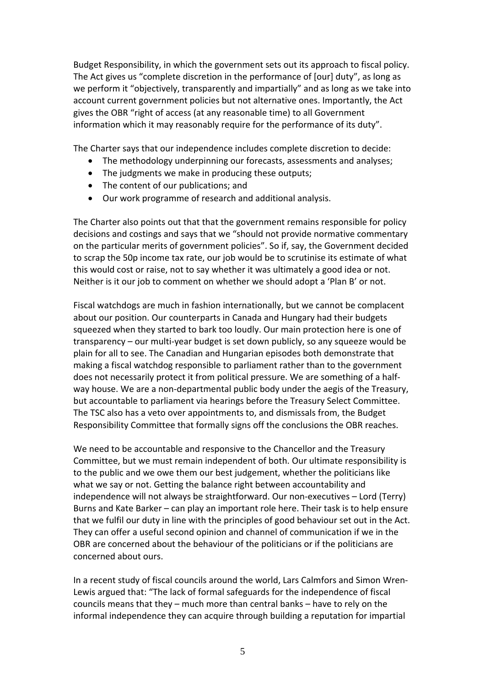Budget Responsibility, in which the government sets out its approach to fiscal policy. The Act gives us "complete discretion in the performance of [our] duty", as long as we perform it "objectively, transparently and impartially" and as long as we take into account current government policies but not alternative ones. Importantly, the Act gives the OBR "right of access (at any reasonable time) to all Government information which it may reasonably require for the performance of its duty".

The Charter says that our independence includes complete discretion to decide:

- The methodology underpinning our forecasts, assessments and analyses;
- The judgments we make in producing these outputs;
- The content of our publications; and
- Our work programme of research and additional analysis.

The Charter also points out that that the government remains responsible for policy decisions and costings and says that we "should not provide normative commentary on the particular merits of government policies". So if, say, the Government decided to scrap the 50p income tax rate, our job would be to scrutinise its estimate of what this would cost or raise, not to say whether it was ultimately a good idea or not. Neither is it our job to comment on whether we should adopt a 'Plan B' or not.

Fiscal watchdogs are much in fashion internationally, but we cannot be complacent about our position. Our counterparts in Canada and Hungary had their budgets squeezed when they started to bark too loudly. Our main protection here is one of transparency – our multi‐year budget is set down publicly, so any squeeze would be plain for all to see. The Canadian and Hungarian episodes both demonstrate that making a fiscal watchdog responsible to parliament rather than to the government does not necessarily protect it from political pressure. We are something of a half‐ way house. We are a non-departmental public body under the aegis of the Treasury, but accountable to parliament via hearings before the Treasury Select Committee. The TSC also has a veto over appointments to, and dismissals from, the Budget Responsibility Committee that formally signs off the conclusions the OBR reaches.

We need to be accountable and responsive to the Chancellor and the Treasury Committee, but we must remain independent of both. Our ultimate responsibility is to the public and we owe them our best judgement, whether the politicians like what we say or not. Getting the balance right between accountability and independence will not always be straightforward. Our non‐executives – Lord (Terry) Burns and Kate Barker – can play an important role here. Their task is to help ensure that we fulfil our duty in line with the principles of good behaviour set out in the Act. They can offer a useful second opinion and channel of communication if we in the OBR are concerned about the behaviour of the politicians or if the politicians are concerned about ours.

In a recent study of fiscal councils around the world, Lars Calmfors and Simon Wren‐ Lewis argued that: "The lack of formal safeguards for the independence of fiscal councils means that they – much more than central banks – have to rely on the informal independence they can acquire through building a reputation for impartial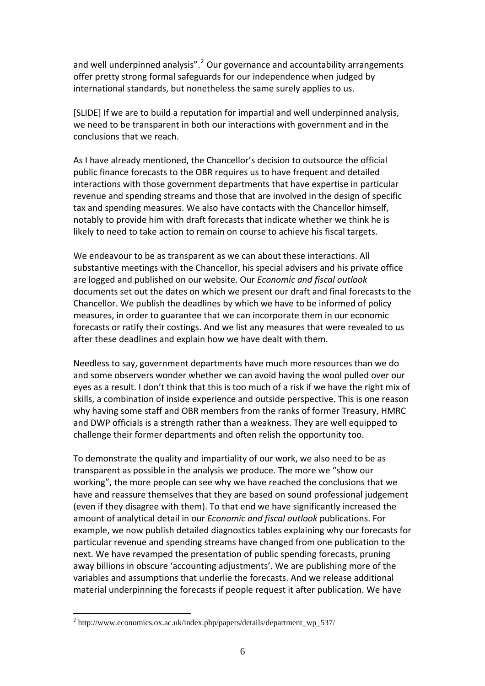and well underpinned analysis".<sup>[2](#page-1-0)</sup> Our governance and accountability arrangements offer pretty strong formal safeguards for our independence when judged by international standards, but nonetheless the same surely applies to us.

[SLIDE] If we are to build a reputation for impartial and well underpinned analysis, we need to be transparent in both our interactions with government and in the conclusions that we reach.

As I have already mentioned, the Chancellor's decision to outsource the official public finance forecasts to the OBR requires us to have frequent and detailed interactions with those government departments that have expertise in particular revenue and spending streams and those that are involved in the design of specific tax and spending measures. We also have contacts with the Chancellor himself, notably to provide him with draft forecasts that indicate whether we think he is likely to need to take action to remain on course to achieve his fiscal targets.

We endeavour to be as transparent as we can about these interactions. All substantive meetings with the Chancellor, his special advisers and his private office are logged and published on our website. Our *Economic and fiscal outlook* documents set out the dates on which we present our draft and final forecasts to the Chancellor. We publish the deadlines by which we have to be informed of policy measures, in order to guarantee that we can incorporate them in our economic forecasts or ratify their costings. And we list any measures that were revealed to us after these deadlines and explain how we have dealt with them.

Needless to say, government departments have much more resources than we do and some observers wonder whether we can avoid having the wool pulled over our eyes as a result. I don't think that this is too much of a risk if we have the right mix of skills, a combination of inside experience and outside perspective. This is one reason why having some staff and OBR members from the ranks of former Treasury, HMRC and DWP officials is a strength rather than a weakness. They are well equipped to challenge their former departments and often relish the opportunity too.

To demonstrate the quality and impartiality of our work, we also need to be as transparent as possible in the analysis we produce. The more we "show our working", the more people can see why we have reached the conclusions that we have and reassure themselves that they are based on sound professional judgement (even if they disagree with them). To that end we have significantly increased the amount of analytical detail in our *Economic and fiscal outlook* publications. For example, we now publish detailed diagnostics tables explaining why our forecasts for particular revenue and spending streams have changed from one publication to the next. We have revamped the presentation of public spending forecasts, pruning away billions in obscure 'accounting adjustments'. We are publishing more of the variables and assumptions that underlie the forecasts. And we release additional material underpinning the forecasts if people request it after publication. We have

 $\overline{a}$ 

<sup>&</sup>lt;sup>2</sup> http://www.economics.ox.ac.uk/index.php/papers/details/department\_wp\_537/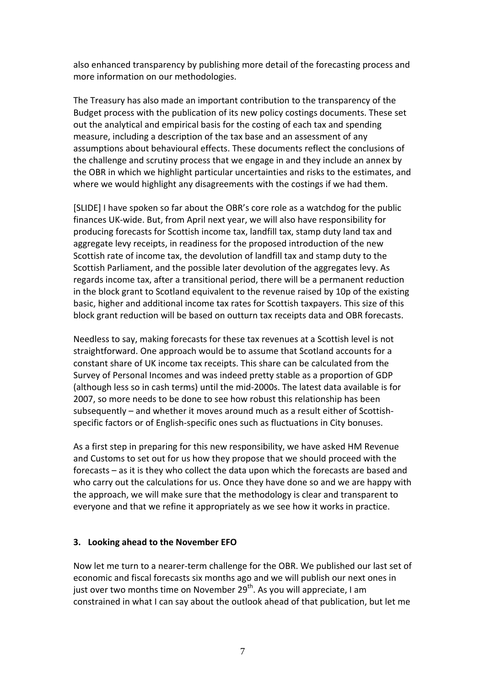also enhanced transparency by publishing more detail of the forecasting process and more information on our methodologies.

The Treasury has also made an important contribution to the transparency of the Budget process with the publication of its new policy costings documents. These set out the analytical and empirical basis for the costing of each tax and spending measure, including a description of the tax base and an assessment of any assumptions about behavioural effects. These documents reflect the conclusions of the challenge and scrutiny process that we engage in and they include an annex by the OBR in which we highlight particular uncertainties and risks to the estimates, and where we would highlight any disagreements with the costings if we had them.

[SLIDE] I have spoken so far about the OBR's core role as a watchdog for the public finances UK‐wide. But, from April next year, we will also have responsibility for producing forecasts for Scottish income tax, landfill tax, stamp duty land tax and aggregate levy receipts, in readiness for the proposed introduction of the new Scottish rate of income tax, the devolution of landfill tax and stamp duty to the Scottish Parliament, and the possible later devolution of the aggregates levy. As regards income tax, after a transitional period, there will be a permanent reduction in the block grant to Scotland equivalent to the revenue raised by 10p of the existing basic, higher and additional income tax rates for Scottish taxpayers. This size of this block grant reduction will be based on outturn tax receipts data and OBR forecasts.

Needless to say, making forecasts for these tax revenues at a Scottish level is not straightforward. One approach would be to assume that Scotland accounts for a constant share of UK income tax receipts. This share can be calculated from the Survey of Personal Incomes and was indeed pretty stable as a proportion of GDP (although less so in cash terms) until the mid‐2000s. The latest data available is for 2007, so more needs to be done to see how robust this relationship has been subsequently – and whether it moves around much as a result either of Scottish‐ specific factors or of English‐specific ones such as fluctuations in City bonuses.

As a first step in preparing for this new responsibility, we have asked HM Revenue and Customs to set out for us how they propose that we should proceed with the forecasts – as it is they who collect the data upon which the forecasts are based and who carry out the calculations for us. Once they have done so and we are happy with the approach, we will make sure that the methodology is clear and transparent to everyone and that we refine it appropriately as we see how it works in practice.

## **3. Looking ahead to the November EFO**

Now let me turn to a nearer‐term challenge for the OBR. We published our last set of economic and fiscal forecasts six months ago and we will publish our next ones in just over two months time on November  $29^{th}$ . As you will appreciate, I am constrained in what I can say about the outlook ahead of that publication, but let me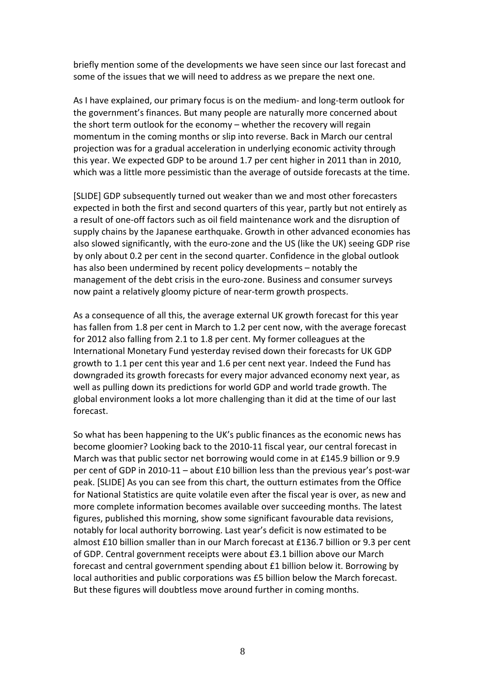briefly mention some of the developments we have seen since our last forecast and some of the issues that we will need to address as we prepare the next one.

As I have explained, our primary focus is on the medium‐ and long‐term outlook for the government's finances. But many people are naturally more concerned about the short term outlook for the economy – whether the recovery will regain momentum in the coming months or slip into reverse. Back in March our central projection was for a gradual acceleration in underlying economic activity through this year. We expected GDP to be around 1.7 per cent higher in 2011 than in 2010, which was a little more pessimistic than the average of outside forecasts at the time.

[SLIDE] GDP subsequently turned out weaker than we and most other forecasters expected in both the first and second quarters of this year, partly but not entirely as a result of one‐off factors such as oil field maintenance work and the disruption of supply chains by the Japanese earthquake. Growth in other advanced economies has also slowed significantly, with the euro‐zone and the US (like the UK) seeing GDP rise by only about 0.2 per cent in the second quarter. Confidence in the global outlook has also been undermined by recent policy developments – notably the management of the debt crisis in the euro‐zone. Business and consumer surveys now paint a relatively gloomy picture of near‐term growth prospects.

As a consequence of all this, the average external UK growth forecast for this year has fallen from 1.8 per cent in March to 1.2 per cent now, with the average forecast for 2012 also falling from 2.1 to 1.8 per cent. My former colleagues at the International Monetary Fund yesterday revised down their forecasts for UK GDP growth to 1.1 per cent this year and 1.6 per cent next year. Indeed the Fund has downgraded its growth forecasts for every major advanced economy next year, as well as pulling down its predictions for world GDP and world trade growth. The global environment looks a lot more challenging than it did at the time of our last forecast.

So what has been happening to the UK's public finances as the economic news has become gloomier? Looking back to the 2010‐11 fiscal year, our central forecast in March was that public sector net borrowing would come in at £145.9 billion or 9.9 per cent of GDP in 2010‐11 – about £10 billion less than the previous year's post‐war peak. [SLIDE] As you can see from this chart, the outturn estimates from the Office for National Statistics are quite volatile even after the fiscal year is over, as new and more complete information becomes available over succeeding months. The latest figures, published this morning, show some significant favourable data revisions, notably for local authority borrowing. Last year's deficit is now estimated to be almost £10 billion smaller than in our March forecast at £136.7 billion or 9.3 per cent of GDP. Central government receipts were about £3.1 billion above our March forecast and central government spending about £1 billion below it. Borrowing by local authorities and public corporations was £5 billion below the March forecast. But these figures will doubtless move around further in coming months.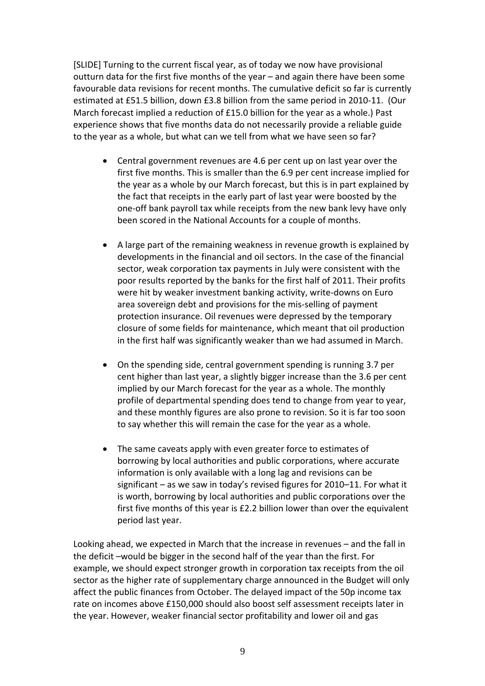[SLIDE] Turning to the current fiscal year, as of today we now have provisional outturn data for the first five months of the year – and again there have been some favourable data revisions for recent months. The cumulative deficit so far is currently estimated at £51.5 billion, down £3.8 billion from the same period in 2010‐11. (Our March forecast implied a reduction of £15.0 billion for the year as a whole.) Past experience shows that five months data do not necessarily provide a reliable guide to the year as a whole, but what can we tell from what we have seen so far?

- Central government revenues are 4.6 per cent up on last year over the first five months. This is smaller than the 6.9 per cent increase implied for the year as a whole by our March forecast, but this is in part explained by the fact that receipts in the early part of last year were boosted by the one‐off bank payroll tax while receipts from the new bank levy have only been scored in the National Accounts for a couple of months.
- A large part of the remaining weakness in revenue growth is explained by developments in the financial and oil sectors. In the case of the financial sector, weak corporation tax payments in July were consistent with the poor results reported by the banks for the first half of 2011. Their profits were hit by weaker investment banking activity, write-downs on Euro area sovereign debt and provisions for the mis‐selling of payment protection insurance. Oil revenues were depressed by the temporary closure of some fields for maintenance, which meant that oil production in the first half was significantly weaker than we had assumed in March.
- On the spending side, central government spending is running 3.7 per cent higher than last year, a slightly bigger increase than the 3.6 per cent implied by our March forecast for the year as a whole. The monthly profile of departmental spending does tend to change from year to year, and these monthly figures are also prone to revision. So it is far too soon to say whether this will remain the case for the year as a whole.
- The same caveats apply with even greater force to estimates of borrowing by local authorities and public corporations, where accurate information is only available with a long lag and revisions can be significant – as we saw in today's revised figures for 2010–11. For what it is worth, borrowing by local authorities and public corporations over the first five months of this year is £2.2 billion lower than over the equivalent period last year.

Looking ahead, we expected in March that the increase in revenues – and the fall in the deficit –would be bigger in the second half of the year than the first. For example, we should expect stronger growth in corporation tax receipts from the oil sector as the higher rate of supplementary charge announced in the Budget will only affect the public finances from October. The delayed impact of the 50p income tax rate on incomes above £150,000 should also boost self assessment receipts later in the year. However, weaker financial sector profitability and lower oil and gas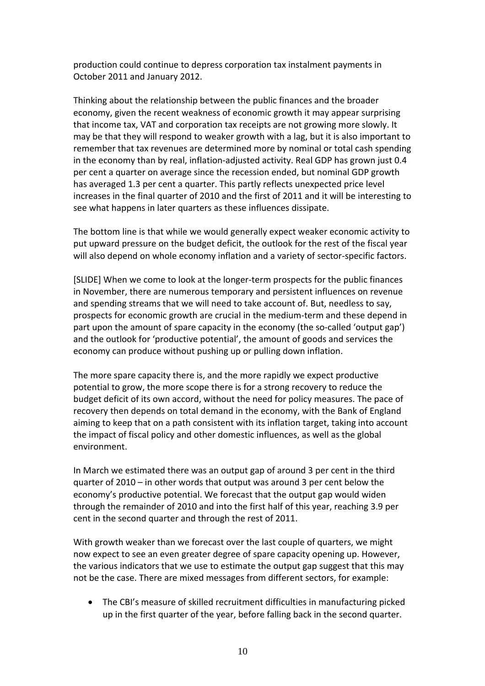production could continue to depress corporation tax instalment payments in October 2011 and January 2012.

Thinking about the relationship between the public finances and the broader economy, given the recent weakness of economic growth it may appear surprising that income tax, VAT and corporation tax receipts are not growing more slowly. It may be that they will respond to weaker growth with a lag, but it is also important to remember that tax revenues are determined more by nominal or total cash spending in the economy than by real, inflation-adjusted activity. Real GDP has grown just 0.4 per cent a quarter on average since the recession ended, but nominal GDP growth has averaged 1.3 per cent a quarter. This partly reflects unexpected price level increases in the final quarter of 2010 and the first of 2011 and it will be interesting to see what happens in later quarters as these influences dissipate.

The bottom line is that while we would generally expect weaker economic activity to put upward pressure on the budget deficit, the outlook for the rest of the fiscal year will also depend on whole economy inflation and a variety of sector-specific factors.

[SLIDE] When we come to look at the longer‐term prospects for the public finances in November, there are numerous temporary and persistent influences on revenue and spending streams that we will need to take account of. But, needless to say, prospects for economic growth are crucial in the medium‐term and these depend in part upon the amount of spare capacity in the economy (the so-called 'output gap') and the outlook for 'productive potential', the amount of goods and services the economy can produce without pushing up or pulling down inflation.

The more spare capacity there is, and the more rapidly we expect productive potential to grow, the more scope there is for a strong recovery to reduce the budget deficit of its own accord, without the need for policy measures. The pace of recovery then depends on total demand in the economy, with the Bank of England aiming to keep that on a path consistent with its inflation target, taking into account the impact of fiscal policy and other domestic influences, as well as the global environment.

In March we estimated there was an output gap of around 3 per cent in the third quarter of 2010 – in other words that output was around 3 per cent below the economy's productive potential. We forecast that the output gap would widen through the remainder of 2010 and into the first half of this year, reaching 3.9 per cent in the second quarter and through the rest of 2011.

With growth weaker than we forecast over the last couple of quarters, we might now expect to see an even greater degree of spare capacity opening up. However, the various indicators that we use to estimate the output gap suggest that this may not be the case. There are mixed messages from different sectors, for example:

 The CBI's measure of skilled recruitment difficulties in manufacturing picked up in the first quarter of the year, before falling back in the second quarter.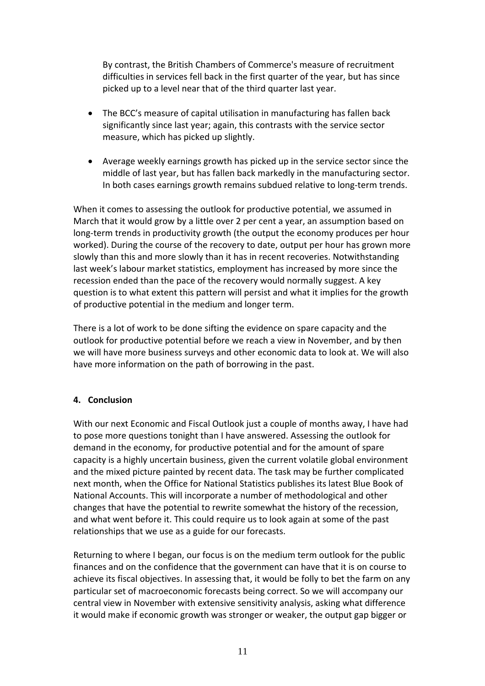By contrast, the British Chambers of Commerce's measure of recruitment difficulties in services fell back in the first quarter of the year, but has since picked up to a level near that of the third quarter last year.

- The BCC's measure of capital utilisation in manufacturing has fallen back significantly since last year; again, this contrasts with the service sector measure, which has picked up slightly.
- Average weekly earnings growth has picked up in the service sector since the middle of last year, but has fallen back markedly in the manufacturing sector. In both cases earnings growth remains subdued relative to long‐term trends.

When it comes to assessing the outlook for productive potential, we assumed in March that it would grow by a little over 2 per cent a year, an assumption based on long-term trends in productivity growth (the output the economy produces per hour worked). During the course of the recovery to date, output per hour has grown more slowly than this and more slowly than it has in recent recoveries. Notwithstanding last week's labour market statistics, employment has increased by more since the recession ended than the pace of the recovery would normally suggest. A key question is to what extent this pattern will persist and what it implies for the growth of productive potential in the medium and longer term.

There is a lot of work to be done sifting the evidence on spare capacity and the outlook for productive potential before we reach a view in November, and by then we will have more business surveys and other economic data to look at. We will also have more information on the path of borrowing in the past.

## **4. Conclusion**

With our next Economic and Fiscal Outlook just a couple of months away, I have had to pose more questions tonight than I have answered. Assessing the outlook for demand in the economy, for productive potential and for the amount of spare capacity is a highly uncertain business, given the current volatile global environment and the mixed picture painted by recent data. The task may be further complicated next month, when the Office for National Statistics publishes its latest Blue Book of National Accounts. This will incorporate a number of methodological and other changes that have the potential to rewrite somewhat the history of the recession, and what went before it. This could require us to look again at some of the past relationships that we use as a guide for our forecasts.

Returning to where I began, our focus is on the medium term outlook for the public finances and on the confidence that the government can have that it is on course to achieve its fiscal objectives. In assessing that, it would be folly to bet the farm on any particular set of macroeconomic forecasts being correct. So we will accompany our central view in November with extensive sensitivity analysis, asking what difference it would make if economic growth was stronger or weaker, the output gap bigger or